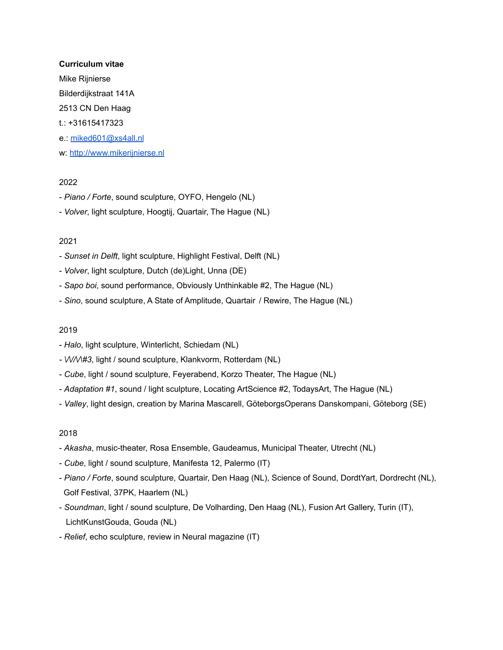#### **Curriculum vitae**

Mike Rijnierse

Bilderdijkstraat 141A

2513 CN Den Haag

- t.: +31615417323
- e.: [miked601@xs4all.nl](mailto:miked601@xs4all.nl)
- w: <http://www.mikerijnierse.nl>

# 2022

- *Piano / Forte*, sound sculpture, OYFO, Hengelo (NL)
- *Volver*, light sculpture, Hoogtij, Quartair, The Hague (NL)

# 2021

- *Sunset in Delft*, light sculpture, Highlight Festival, Delft (NL)
- *Volver*, light sculpture, Dutch (de)Light, Unna (DE)
- *Sapo boi*, sound performance, Obviously Unthinkable #2, The Hague (NL)
- *Sino*, sound sculpture, A State of Amplitude, Quartair / Rewire, The Hague (NL)

## 2019

- *Halo*, light sculpture, Winterlicht, Schiedam (NL)
- *- \/\//\/\#3*, light / sound sculpture, Klankvorm, Rotterdam (NL)
- *Cube*, light / sound sculpture, Feyerabend, Korzo Theater, The Hague (NL)
- *Adaptation #1*, sound / light sculpture, Locating ArtScience #2, TodaysArt, The Hague (NL)
- *Valley*, light design, creation by Marina Mascarell, GöteborgsOperans Danskompani, Göteborg (SE)

- *Akasha*, music-theater, Rosa Ensemble, Gaudeamus, Municipal Theater, Utrecht (NL)
- *Cube*, light / sound sculpture, Manifesta 12, Palermo (IT)
- *Piano / Forte*, sound sculpture, Quartair, Den Haag (NL), Science of Sound, DordtYart, Dordrecht (NL), Golf Festival, 37PK, Haarlem (NL)
- *Soundman*, light / sound sculpture, De Volharding, Den Haag (NL), Fusion Art Gallery, Turin (IT), LichtKunstGouda, Gouda (NL)
- *Relief*, echo sculpture, review in Neural magazine (IT)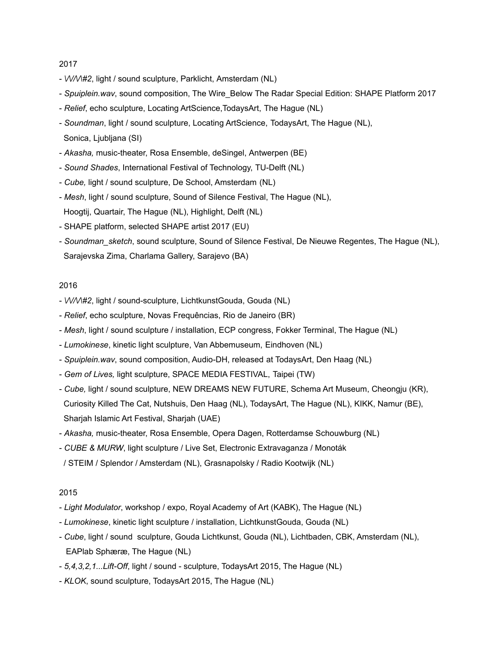- *\/\//\/\#2*, light / sound sculpture, Parklicht, Amsterdam (NL)
- *Spuiplein.wav*, sound composition, The Wire\_Below The Radar Special Edition: SHAPE Platform 2017
- *Relief*, echo sculpture, Locating ArtScience,TodaysArt, The Hague (NL)
- *Soundman*, light / sound sculpture, Locating ArtScience, TodaysArt, The Hague (NL), Sonica, Ljubljana (SI)
- *Akasha,* music-theater, Rosa Ensemble, deSingel, Antwerpen (BE)
- *Sound Shades*, International Festival of Technology, TU-Delft (NL)
- *Cube,* light / sound sculpture, De School, Amsterdam (NL)
- *Mesh*, light / sound sculpture, Sound of Silence Festival, The Hague (NL), Hoogtij, Quartair, The Hague (NL), Highlight, Delft (NL)
- SHAPE platform, selected SHAPE artist 2017 (EU)
- *Soundman\_sketch*, sound sculpture, Sound of Silence Festival, De Nieuwe Regentes, The Hague (NL), Sarajevska Zima, Charlama Gallery, Sarajevo (BA)

#### 2016

- *\/\//\/\#2*, light / sound-sculpture, LichtkunstGouda, Gouda (NL)
- *Relief*, echo sculpture, Novas Frequências, Rio de Janeiro (BR)
- *Mesh*, light / sound sculpture / installation, ECP congress, Fokker Terminal, The Hague (NL)
- *Lumokinese*, kinetic light sculpture, Van Abbemuseum, Eindhoven (NL)
- *Spuiplein.wav*, sound composition, Audio-DH, released at TodaysArt, Den Haag (NL)
- *Gem of Lives,* light sculpture, SPACE MEDIA FESTIVAL, Taipei (TW)
- *Cube,* light / sound sculpture, NEW DREAMS NEW FUTURE, Schema Art Museum, Cheongju (KR), Curiosity Killed The Cat, Nutshuis, Den Haag (NL), TodaysArt, The Hague (NL), KIKK, Namur (BE), Sharjah Islamic Art Festival, Sharjah (UAE)
- *Akasha,* music-theater, Rosa Ensemble, Opera Dagen, Rotterdamse Schouwburg (NL)
- *CUBE & MURW*, light sculpture / Live Set, Electronic Extravaganza / Monoták
- / STEIM / Splendor / Amsterdam (NL), Grasnapolsky / Radio Kootwijk (NL)

- *Light Modulator*, workshop / expo, Royal Academy of Art (KABK), The Hague (NL)
- *Lumokinese*, kinetic light sculpture / installation, LichtkunstGouda, Gouda (NL)
- *Cube*, light / sound sculpture, Gouda Lichtkunst, Gouda (NL), Lichtbaden, CBK, Amsterdam (NL), EAPlab Sphæræ, The Hague (NL)
- *5,4,3,2,1...Lift-Off*, light / sound sculpture, TodaysArt 2015, The Hague (NL)
- *KLOK*, sound sculpture, TodaysArt 2015, The Hague (NL)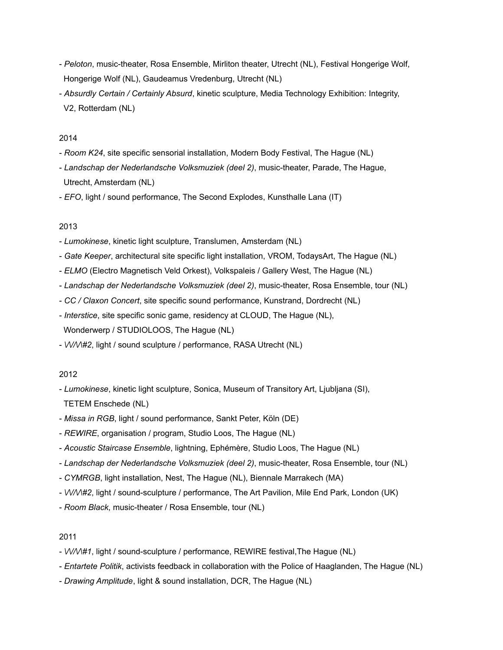- *Peloton*, music-theater, Rosa Ensemble, Mirliton theater, Utrecht (NL), Festival Hongerige Wolf, Hongerige Wolf (NL), Gaudeamus Vredenburg, Utrecht (NL)
- *Absurdly Certain / Certainly Absurd*, kinetic sculpture, Media Technology Exhibition: Integrity, V2, Rotterdam (NL)

- *Room K24*, site specific sensorial installation, Modern Body Festival, The Hague (NL)
- *Landschap der Nederlandsche Volksmuziek (deel 2)*, music-theater, Parade, The Hague, Utrecht, Amsterdam (NL)
- *EFO*, light / sound performance, The Second Explodes, Kunsthalle Lana (IT)

#### 2013

- *Lumokinese*, kinetic light sculpture, Translumen, Amsterdam (NL)
- *Gate Keeper*, architectural site specific light installation, VROM, TodaysArt, The Hague (NL)
- *ELMO* (Electro Magnetisch Veld Orkest), Volkspaleis / Gallery West, The Hague (NL)
- *Landschap der Nederlandsche Volksmuziek (deel 2)*, music-theater, Rosa Ensemble, tour (NL)
- *CC / Claxon Concert*, site specific sound performance, Kunstrand, Dordrecht (NL)
- *Interstice*, site specific sonic game, residency at CLOUD, The Hague (NL), Wonderwerp / STUDIOLOOS, The Hague (NL)
- *\/\//\/\#2*, light / sound sculpture / performance, RASA Utrecht (NL)

## 2012

- *Lumokinese*, kinetic light sculpture, Sonica, Museum of Transitory Art, Ljubljana (SI), TETEM Enschede (NL)
- *Missa in RGB*, light / sound performance, Sankt Peter, Köln (DE)
- *REWIRE*, organisation / program, Studio Loos, The Hague (NL)
- *Acoustic Staircase Ensemble*, lightning, Ephémère, Studio Loos, The Hague (NL)
- *Landschap der Nederlandsche Volksmuziek (deel 2)*, music-theater, Rosa Ensemble, tour (NL)
- *CYMRGB*, light installation, Nest, The Hague (NL), Biennale Marrakech (MA)
- *\/\//\/\#2*, light / sound-sculpture / performance, The Art Pavilion, Mile End Park, London (UK)
- *Room Black*, music-theater / Rosa Ensemble, tour (NL)

- *\/\//\/\#1*, light / sound-sculpture / performance, REWIRE festival,The Hague (NL)
- *Entartete Politik*, activists feedback in collaboration with the Police of Haaglanden, The Hague (NL)
- *Drawing Amplitude*, light & sound installation, DCR, The Hague (NL)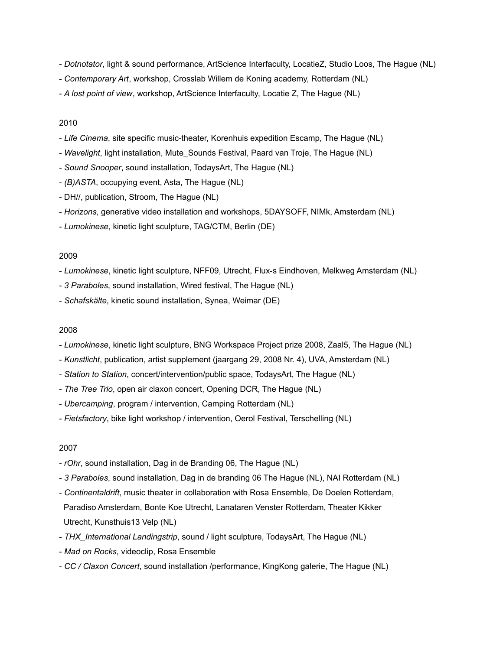- *Dotnotator*, light & sound performance, ArtScience Interfaculty, LocatieZ, Studio Loos, The Hague (NL)
- *Contemporary Art*, workshop, Crosslab Willem de Koning academy, Rotterdam (NL)
- *A lost point of view*, workshop, ArtScience Interfaculty, Locatie Z, The Hague (NL)

- *Life Cinema*, site specific music-theater, Korenhuis expedition Escamp, The Hague (NL)
- *Wavelight*, light installation, Mute\_Sounds Festival, Paard van Troje, The Hague (NL)
- *Sound Snooper*, sound installation, TodaysArt, The Hague (NL)
- *(B)ASTA*, occupying event, Asta, The Hague (NL)
- DH//, publication, Stroom, The Hague (NL)
- *Horizons*, generative video installation and workshops, 5DAYSOFF, NIMk, Amsterdam (NL)
- *Lumokinese*, kinetic light sculpture, TAG/CTM, Berlin (DE)

#### 2009

- *Lumokinese*, kinetic light sculpture, NFF09, Utrecht, Flux-s Eindhoven, Melkweg Amsterdam (NL)
- *3 Paraboles*, sound installation, Wired festival, The Hague (NL)
- *Schafskälte*, kinetic sound installation, Synea, Weimar (DE)

#### 2008

- *Lumokinese*, kinetic light sculpture, BNG Workspace Project prize 2008, Zaal5, The Hague (NL)
- *Kunstlicht*, publication, artist supplement (jaargang 29, 2008 Nr. 4), UVA, Amsterdam (NL)
- *Station to Station*, concert/intervention/public space, TodaysArt, The Hague (NL)
- *The Tree Trio*, open air claxon concert, Opening DCR, The Hague (NL)
- *Ubercamping*, program / intervention, Camping Rotterdam (NL)
- *Fietsfactory*, bike light workshop / intervention, Oerol Festival, Terschelling (NL)

- *rOhr*, sound installation, Dag in de Branding 06, The Hague (NL)
- *3 Paraboles*, sound installation, Dag in de branding 06 The Hague (NL), NAI Rotterdam (NL)
- *Continentaldrift*, music theater in collaboration with Rosa Ensemble, De Doelen Rotterdam, Paradiso Amsterdam, Bonte Koe Utrecht, Lanataren Venster Rotterdam, Theater Kikker Utrecht, Kunsthuis13 Velp (NL)
- *THX\_International Landingstrip*, sound / light sculpture, TodaysArt, The Hague (NL)
- *Mad on Rocks*, videoclip, Rosa Ensemble
- *CC / Claxon Concert*, sound installation /performance, KingKong galerie, The Hague (NL)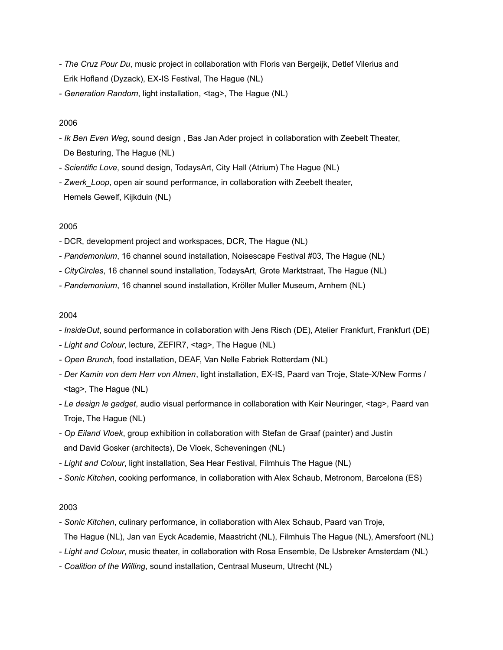- *The Cruz Pour Du*, music project in collaboration with Floris van Bergeijk, Detlef Vilerius and Erik Hofland (Dyzack), EX-IS Festival, The Hague (NL)
- *Generation Random*, light installation, <tag>, The Hague (NL)

- *Ik Ben Even Weg*, sound design , Bas Jan Ader project in collaboration with Zeebelt Theater, De Besturing, The Hague (NL)
- *Scientific Love*, sound design, TodaysArt, City Hall (Atrium) The Hague (NL)
- *Zwerk\_Loop*, open air sound performance, in collaboration with Zeebelt theater, Hemels Gewelf, Kijkduin (NL)

## 2005

- DCR, development project and workspaces, DCR, The Hague (NL)
- *Pandemonium*, 16 channel sound installation, Noisescape Festival #03, The Hague (NL)
- *CityCircles*, 16 channel sound installation, TodaysArt, Grote Marktstraat, The Hague (NL)
- *Pandemonium*, 16 channel sound installation, Kröller Muller Museum, Arnhem (NL)

## 2004

- *InsideOut*, sound performance in collaboration with Jens Risch (DE), Atelier Frankfurt, Frankfurt (DE)
- *Light and Colour*, lecture, ZEFIR7, <tag>, The Hague (NL)
- *Open Brunch*, food installation, DEAF, Van Nelle Fabriek Rotterdam (NL)
- *Der Kamin von dem Herr von Almen*, light installation, EX-IS, Paard van Troje, State-X/New Forms / <tag>, The Hague (NL)
- *Le design le gadget*, audio visual performance in collaboration with Keir Neuringer, <tag>, Paard van Troje, The Hague (NL)
- *Op Eiland Vloek*, group exhibition in collaboration with Stefan de Graaf (painter) and Justin and David Gosker (architects), De Vloek, Scheveningen (NL)
- *Light and Colour*, light installation, Sea Hear Festival, Filmhuis The Hague (NL)
- *Sonic Kitchen*, cooking performance, in collaboration with Alex Schaub, Metronom, Barcelona (ES)

- *Sonic Kitchen*, culinary performance, in collaboration with Alex Schaub, Paard van Troje,
- The Hague (NL), Jan van Eyck Academie, Maastricht (NL), Filmhuis The Hague (NL), Amersfoort (NL)
- *Light and Colour*, music theater, in collaboration with Rosa Ensemble, De IJsbreker Amsterdam (NL)
- *Coalition of the Willing*, sound installation, Centraal Museum, Utrecht (NL)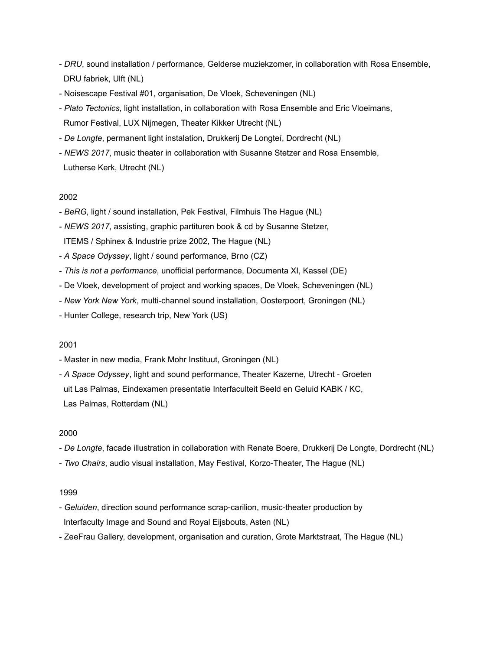- *DRU*, sound installation / performance, Gelderse muziekzomer, in collaboration with Rosa Ensemble, DRU fabriek, Ulft (NL)
- Noisescape Festival #01, organisation, De Vloek, Scheveningen (NL)
- *Plato Tectonics*, light installation, in collaboration with Rosa Ensemble and Eric Vloeimans, Rumor Festival, LUX Nijmegen, Theater Kikker Utrecht (NL)
- *De Longte*, permanent light instalation, Drukkerij De Longteí, Dordrecht (NL)
- *NEWS 2017*, music theater in collaboration with Susanne Stetzer and Rosa Ensemble, Lutherse Kerk, Utrecht (NL)

- *BeRG*, light / sound installation, Pek Festival, Filmhuis The Hague (NL)
- *NEWS 2017*, assisting, graphic partituren book & cd by Susanne Stetzer, ITEMS / Sphinex & Industrie prize 2002, The Hague (NL)
- *A Space Odyssey*, light / sound performance, Brno (CZ)
- *This is not a performance*, unofficial performance, Documenta XI, Kassel (DE)
- De Vloek, development of project and working spaces, De Vloek, Scheveningen (NL)
- *New York New York*, multi-channel sound installation, Oosterpoort, Groningen (NL)
- Hunter College, research trip, New York (US)

## 2001

- Master in new media, Frank Mohr Instituut, Groningen (NL)
- *A Space Odyssey*, light and sound performance, Theater Kazerne, Utrecht Groeten uit Las Palmas, Eindexamen presentatie Interfaculteit Beeld en Geluid KABK / KC, Las Palmas, Rotterdam (NL)

## 2000

- *De Longte*, facade illustration in collaboration with Renate Boere, Drukkerij De Longte, Dordrecht (NL)
- *Two Chairs*, audio visual installation, May Festival, Korzo-Theater, The Hague (NL)

- *Geluiden*, direction sound performance scrap-carilion, music-theater production by Interfaculty Image and Sound and Royal Eijsbouts, Asten (NL)
- ZeeFrau Gallery, development, organisation and curation, Grote Marktstraat, The Hague (NL)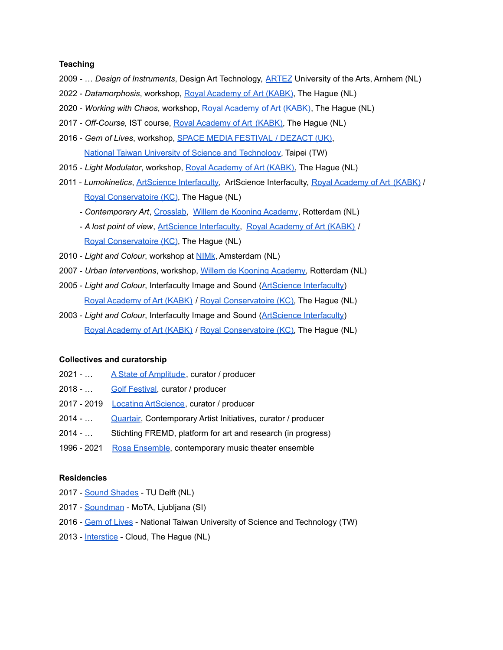#### **Teaching**

- 2009 … *Design of Instruments*, Design Art Technology, [ARTEZ](http://interactiefarnhem.nl/) University of the Arts, Arnhem (NL)
- 2022 *Datamorphosis*, workshop, Royal [Academy](https://www.kabk.nl/opleidingen/master/non-linear-narrative) of Art (KABK), The Hague (NL)
- 2020 *Working with Chaos*, workshop, Royal [Academy](https://www.kabk.nl/nieuws/tech-week-2020-at-the-graphic-design-department) of Art (KABK), The Hague (NL)
- 2017 *Off-Course,* IST course, Royal [Academy](http://www.kabk.nl/) of Art (KABK), The Hague (NL)
- 2016 *Gem of Lives*, workshop, SPACE MEDIA [FESTIVAL](http://www.dezact.org/gem-of-lives/) / DEZACT (UK), National Taiwan University of Science and [Technology](http://www-e.ntust.edu.tw/), Taipei (TW)
- 2015 *Light Modulator*, workshop, Royal [Academy](http://archive.kabk.nl/newsitemNL.php?newsid=1188&cat=21) of Art (KABK), The Hague (NL)
- 2011 *Lumokinetics*, ArtScience [Interfaculty](http://www.interfaculty.nl/), ArtScience Interfaculty, Royal [Academy](http://www.kabk.nl/) of Art (KABK) / Royal [Conservatoire](http://www.koncon.nl/en/) (KC), The Hague (NL)
	- *Contemporary Art*, [Crosslab,](http://extra.wdka.nl/crosslab/) Willem de Kooning [Academy](http://www.wdka.nl/?lang=en), Rotterdam (NL)
	- *A lost point of view*, ArtScience [Interfaculty](http://www.interfaculty.nl/), Royal [Academy](http://www.kabk.nl/) of Art (KABK) / Royal [Conservatoire](http://www.koncon.nl/en/) (KC), The Hague (NL)
- 2010 *Light and Colour*, workshop at [NIMk](http://nimk.nl/eng/), Amsterdam (NL)
- 2007 *Urban Interventions*, workshop, Willem de Kooning [Academy](http://www.wdka.nl/?lang=en), Rotterdam (NL)
- 2005 *Light and Colour*, Interfaculty Image and Sound (ArtScience [Interfaculty\)](http://www.interfaculty.nl/) Royal [Academy](http://www.kabk.nl/) of Art (KABK) / Royal [Conservatoire](http://www.koncon.nl/en/) (KC), The Hague (NL)
- 2003 *Light and Colour*, Interfaculty Image and Sound (ArtScience [Interfaculty\)](http://www.interfaculty.nl/) Royal [Academy](http://www.kabk.nl/) of Art (KABK) / Royal [Conservatoire](http://www.koncon.nl/en/) (KC), The Hague (NL)

#### **Collectives and curatorship**

- 2021 ... A State of [Amplitude](https://www.quartair.nl/a-state-of-amplitude/), curator / producer
- 2018 ... **Golf [Festival,](http://golf-festival.nl/) curator / producer**
- 2017 2019 Locating [ArtScience](https://mikerijnierse.nl/todaysart_2017/), curator / producer
- 2014 ... [Quartair](http://www.quartair.nl/), Contemporary Artist Initiatives, curator / producer
- 2014 … Stichting FREMD, platform for art and research (in progress)
- 1996 2021 Rosa [Ensemble](http://www.rosaensemble.nl/), contemporary music theater ensemble

#### **Residencies**

- 2017 Sound [Shades](http://mikerijnierse.nl/tu-delft/) TU Delft (NL)
- 2017 [Soundman](http://mikerijnierse.nl/sonica-2017/) MoTA, Ljubljana (SI)
- 2016 Gem of [Lives](http://mikerijnierse.nl/modern-body-festival-meets-dezact/) National Taiwan University of Science and Technology (TW)
- 2013 [Interstice](http://mikerijnierse.nl/interstice/) Cloud, The Hague (NL)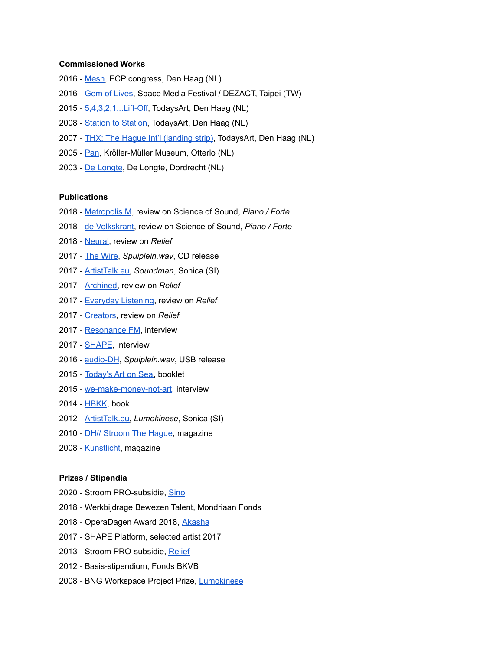#### **Commissioned Works**

- [Mesh,](http://mikerijnierse.nl/mesh/) ECP congress, Den Haag (NL)
- Gem of [Lives](http://mikerijnierse.nl/modern-body-festival-meets-dezact/), Space Media Festival / DEZACT, Taipei (TW)
- [5,4,3,2,1...Lift-Off](http://todaysart.org/project/54321-lift-off/), TodaysArt, Den Haag (NL)
- [Station](http://todaysart.org/project/station-to-station/) to Station, TodaysArt, Den Haag (NL)
- 2007 THX: The Hague Int'l [\(landing](http://todaysart.org/project/thx-the-hague-intl/) strip), TodaysArt, Den Haag (NL)
- 2005 [Pan,](http://mikerijnierse.nl/works/pan/) Kröller-Müller Museum, Otterlo (NL)
- De [Longte](http://mikerijnierse.nl/works/de-longte/), De Longte, Dordrecht (NL)

#### **Publications**

- [Metropolis](https://www.metropolism.com/nl/reviews/36338_science_of_sound_dordtyart) M, review on Science of Sound, *Piano / Forte*
- de [Volkskrant](https://www.volkskrant.nl/cultuur-media/een-tentoonstelling-van-klanken-tonen-en-noten~b2581078/), review on Science of Sound, *Piano / Forte*
- [Neural,](http://mikerijnierse.nl/neural-58/) review on *Relief*
- The [Wire,](https://www.thewire.co.uk/audio/btr/below-the-radar-special-edition-shape-platform-2017) *Spuiplein.wav*, CD release
- [ArtistTalk.eu,](https://vimeo.com/238459418) *Soundman*, Sonica (SI)
- [Archined,](https://www.archined.nl/2017/10/two-days-todaysart-festival) review on *Relief*
- [Everyday](http://www.everydaylistening.com/articles/2017/9/24/relief.html) Listening, review on *Relief*
- [Creators](https://creators.vice.com/nl/article/9k3kdz/afgestudeerden-van-kabk-laten-machines-de-wereld-even-overnemen), review on *Relief*
- [Resonance](https://www.mixcloud.com/Resonance/shape_february2017/) FM, interview
- [SHAPE](http://shapeplatform.eu/2017/lift-off-an-interview-with-mike-rijnierse/), interview
- [audio-DH](http://audiodh.nl/about/), *Spuiplein.wav*, USB release
- [Today's](http://todaysart.org/festival-above-the-waves-first-names-announced/) Art on Sea, booklet
- [we-make-money-not-art](http://we-make-money-not-art.com/klok/#.Vh6-j6ReE0J), interview
- [HBKK](http://www.hbkk.nl/), book
- [ArtistTalk.eu,](http://www.artisttalk.eu/mike-rijnierse-nl/) *Lumokinese*, Sonica (SI)
- 2010 *DH// [Stroom](http://www.stroom.nl/media/DH_inside2010_Lowres.pdf) The Hague*, magazine
- 2008 [Kunstlicht](http://www.tijdschriftkunstlicht.nl/), magazine

#### **Prizes / Stipendia**

- Stroom PRO-subsidie, [Sino](https://mikerijnierse.nl/sino/)
- Werkbijdrage Bewezen Talent, Mondriaan Fonds
- OperaDagen Award 2018, [Akasha](http://mikerijnierse.nl/akasha/)
- SHAPE Platform, selected artist 2017
- Stroom PRO-subsidie, [Relief](http://mikerijnierse.nl/todaysart_2017/)
- Basis-stipendium, Fonds BKVB
- BNG Workspace Project Prize, [Lumokinese](http://mikerijnierse.nl/a-place-beyond-belief/)